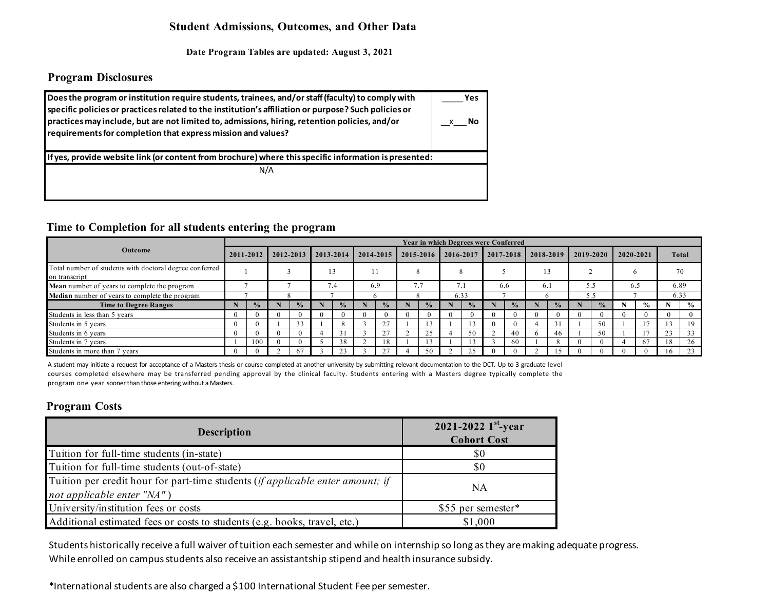## **Student Admissions, Outcomes, and Other Data**

**Date Program Tables are updated: August 3, 2021**

## **Program Disclosures**

| Does the program or institution require students, trainees, and/or staff (faculty) to comply with<br>specific policies or practices related to the institution's affiliation or purpose? Such policies or<br>practices may include, but are not limited to, admissions, hiring, retention policies, and/or<br>requirements for completion that express mission and values? | Yes<br>Νo |
|----------------------------------------------------------------------------------------------------------------------------------------------------------------------------------------------------------------------------------------------------------------------------------------------------------------------------------------------------------------------------|-----------|
| If yes, provide website link (or content from brochure) where this specific information is presented:                                                                                                                                                                                                                                                                      |           |
| N/A                                                                                                                                                                                                                                                                                                                                                                        |           |

### **Time to Completion for all students entering the program**

|                                                                          |            |               |                |               |           |               |  |               |  |               |      |            | <b>Year in which Degrees were Conferred</b> |               |     |               |     |               |     |               |      |                |
|--------------------------------------------------------------------------|------------|---------------|----------------|---------------|-----------|---------------|--|---------------|--|---------------|------|------------|---------------------------------------------|---------------|-----|---------------|-----|---------------|-----|---------------|------|----------------|
| Outcome                                                                  | 2011-2012  |               | $12012 - 2013$ |               | 2013-2014 |               |  | 2014-2015     |  | 2015-2016     |      | 2016-2017  |                                             | 2017-2018     |     | 2018-2019     |     | 2019-2020     |     | 2020-2021     |      | Total          |
| Total number of students with doctoral degree conferred<br>on transcript |            |               |                |               |           |               |  |               |  |               |      |            |                                             |               |     |               |     |               |     |               |      | 70             |
| <b>Mean</b> number of years to complete the program                      |            |               |                |               |           | 7.4           |  | 6.9           |  | 7.7           |      | $\sqrt{1}$ |                                             | 6.6           | 6.1 |               |     | 5.5           | 6.5 |               | 6.89 |                |
| <b>Median</b> number of years to complete the program                    |            |               |                |               |           |               |  |               |  |               | 6.33 |            |                                             |               |     |               | 5.5 |               |     |               | 6.33 |                |
| <b>Time to Degree Ranges</b>                                             |            | $\frac{0}{2}$ |                | $\frac{0}{2}$ |           | $\frac{0}{2}$ |  | $\frac{1}{2}$ |  | $\frac{0}{n}$ |      |            |                                             | $\frac{0}{2}$ |     | $\frac{0}{2}$ |     | $\frac{0}{2}$ |     | $\frac{0}{0}$ |      | $\frac{6}{10}$ |
| Students in less than 5 years                                            | $\theta$   |               |                |               |           |               |  |               |  |               |      |            |                                             |               |     | $\theta$      |     | $\Omega$      |     | $\Omega$      |      |                |
| Students in 5 years                                                      | $\theta$   |               |                | 33            |           |               |  | 27            |  |               |      |            |                                             |               |     | 31            |     | 50            |     |               |      | 19             |
| Students in 6 years                                                      | $\theta$   |               |                |               |           |               |  | 27            |  | 25            |      | 50         |                                             | 40            |     | 46            |     | 50            |     |               | 23   | 33             |
| Students in 7 years                                                      |            | 100           |                |               |           | 38            |  | 18            |  |               |      |            |                                             | -60           |     | 8             |     | $\Omega$      |     | 67            | 18   | 26             |
| Students in more than 7 years                                            | $^{\circ}$ |               |                |               |           |               |  | 27            |  | 50            |      | 25         |                                             |               |     |               |     | $\Omega$      | 0   | $\Omega$      |      | 23             |

A student may initiate a request for acceptance of a Masters thesis or course completed at another university by submitting relevant documentation to the DCT. Up to 3 graduate level courses completed elsewhere may be transferred pending approval by the clinical faculty. Students entering with a Masters degree typically complete the program one year sooner than those entering without a Masters.

# **Program Costs**

| <b>Description</b>                                                                                           | 2021-2022 $1^{st}$ -year<br><b>Cohort Cost</b> |
|--------------------------------------------------------------------------------------------------------------|------------------------------------------------|
| Tuition for full-time students (in-state)                                                                    | \$0                                            |
| Tuition for full-time students (out-of-state)                                                                | \$0                                            |
| Tuition per credit hour for part-time students (if applicable enter amount; if<br>not applicable enter "NA") | NA.                                            |
| University/institution fees or costs                                                                         | \$55 per semester*                             |
| Additional estimated fees or costs to students (e.g. books, travel, etc.)                                    | \$1,000                                        |

Students historically receive a full waiver oftuition each semester and while on internship so long asthey aremaking adequate progress. While enrolled on campus students also receive an assistantship stipend and health insurance subsidy.

\*International students are also charged a \$100 International Student Fee per semester.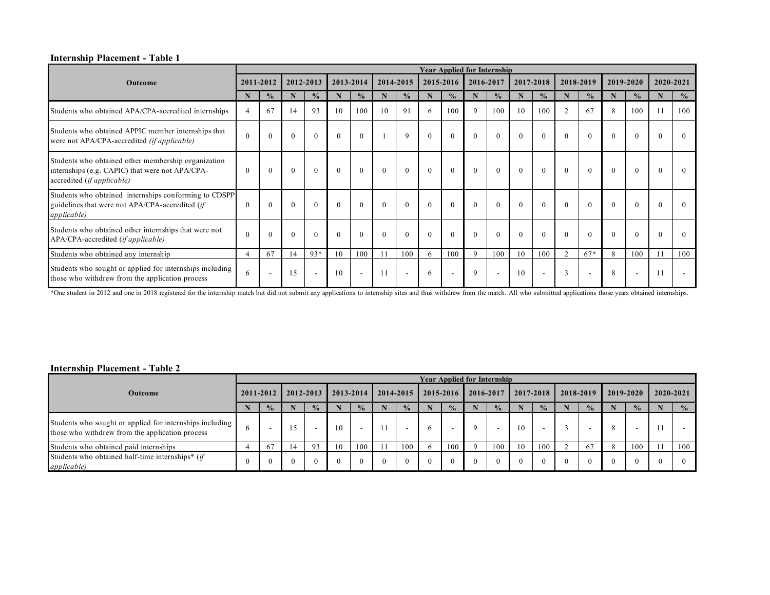#### **Internship Placement - Table 1**

|                                                                                                                                      |          |                          |          |                          |          |               |          |                          |           | <b>Year Applied for Internship</b> |           |                          |           |                          |               |                          |           |                          |           |               |
|--------------------------------------------------------------------------------------------------------------------------------------|----------|--------------------------|----------|--------------------------|----------|---------------|----------|--------------------------|-----------|------------------------------------|-----------|--------------------------|-----------|--------------------------|---------------|--------------------------|-----------|--------------------------|-----------|---------------|
| <b>Outcome</b>                                                                                                                       |          | 2011-2012                |          | 2012-2013                |          | 2013-2014     |          | 2014-2015                | 2015-2016 |                                    | 2016-2017 |                          | 2017-2018 |                          | 2018-2019     |                          | 2019-2020 |                          | 2020-2021 |               |
|                                                                                                                                      | N        | $\frac{0}{0}$            | N        | $\frac{0}{0}$            | N        | $\frac{0}{0}$ |          | $\frac{0}{0}$            | N         | $\frac{0}{0}$                      | N         | $\frac{0}{0}$            |           | $\frac{0}{0}$            | N             | $\frac{0}{0}$            | N         | $\frac{0}{0}$            |           | $\frac{0}{0}$ |
| Students who obtained APA/CPA-accredited internships                                                                                 | 4        | 67                       | 14       | 93                       | 10       | 100           | 10       | 91                       | 6         | 100                                | 9         | 100                      | 10        | 100                      | $\mathcal{L}$ | 67                       | 8         | 100                      |           | 100           |
| Students who obtained APPIC member internships that<br>were not APA/CPA-accredited (if applicable)                                   | $\Omega$ | $\theta$                 | $\Omega$ | $\theta$                 | $\theta$ | $\theta$      |          | $\mathbf{Q}$             | $\theta$  | $\theta$                           | $\Omega$  | $\Omega$                 | $\theta$  | $\theta$                 | $\theta$      | $\theta$                 | $\theta$  | $\Omega$                 | $\Omega$  | $\Omega$      |
| Students who obtained other membership organization<br>internships (e.g. CAPIC) that were not APA/CPA-<br>accredited (if applicable) | $\Omega$ | $\theta$                 | $\theta$ | $\theta$                 | $\theta$ | $\theta$      | $\theta$ | $\theta$                 | $\theta$  | $\theta$                           | $\theta$  | $\theta$                 | $\theta$  | $\theta$                 | $\theta$      | $\theta$                 | $\theta$  |                          | $\theta$  | $\Omega$      |
| Students who obtained internships conforming to CDSPP<br>guidelines that were not APA/CPA-accredited (if<br><i>applicable</i> )      | $\Omega$ | $\Omega$                 | $\Omega$ | $\Omega$                 | $\Omega$ | $\theta$      | $\Omega$ | $\Omega$                 | $\Omega$  | $\Omega$                           | $\Omega$  | $\Omega$                 | $\Omega$  | $\Omega$                 | $\Omega$      | $\theta$                 | $\Omega$  |                          | $\Omega$  | $\Omega$      |
| Students who obtained other internships that were not<br>APA/CPA-accredited ( <i>if applicable</i> )                                 | $\Omega$ | $\Omega$                 | $\Omega$ | $\Omega$                 | $\Omega$ | $\theta$      | $\Omega$ | $\Omega$                 | $\Omega$  | $\Omega$                           | $\Omega$  | $\Omega$                 | $\Omega$  | $\Omega$                 | $\Omega$      | $\Omega$                 | $\Omega$  |                          | $\Omega$  | $\Omega$      |
| Students who obtained any internship                                                                                                 | 4        | 67                       | 14       | $93*$                    | 10       | 100           |          | 100                      | 6         | 100                                | 9         | 100                      | 10        | 100                      | $\bigcap$     | $67*$                    | 8         | 100                      |           | 100           |
| Students who sought or applied for internships including<br>those who with drew from the application process                         | 6        | $\overline{\phantom{a}}$ | 15       | $\overline{\phantom{a}}$ | 10       | $\sim$        | 11       | $\overline{\phantom{a}}$ | 6         | $\overline{\phantom{a}}$           | 9         | $\overline{\phantom{a}}$ | 10        | $\overline{\phantom{a}}$ | 3             | $\overline{\phantom{a}}$ | 8         | $\overline{\phantom{a}}$ |           |               |

\*One student in 2012 and one in 2018 registered for the internship match but did not submit any applications to internship sites and thus withdrew from the match. All who submitted applications those years obtained interns

#### **Internship Placement - Table 2**

|                                                                                                             |  |               |    |               |    |                          |  |                          |  |               | <b>Year Applied for Internship</b> |               |    |                          |           |               |           |               |           |               |
|-------------------------------------------------------------------------------------------------------------|--|---------------|----|---------------|----|--------------------------|--|--------------------------|--|---------------|------------------------------------|---------------|----|--------------------------|-----------|---------------|-----------|---------------|-----------|---------------|
| <b>Outcome</b>                                                                                              |  | 2011-2012     |    | 2012-2013     |    | 2013-2014                |  | 2014-2015                |  | 2015-2016     |                                    | 2016-2017     |    | 2017-2018                | 2018-2019 |               | 2019-2020 |               | 2020-2021 |               |
|                                                                                                             |  | $\frac{0}{2}$ |    | $\frac{0}{2}$ |    | $\frac{0}{0}$            |  | $\frac{0}{0}$            |  | $\frac{0}{2}$ |                                    | $\frac{0}{2}$ |    | $\frac{0}{0}$            |           | $\frac{0}{2}$ |           | $\frac{0}{2}$ |           | $\frac{0}{0}$ |
| Students who sought or applied for internships including<br>those who withdrew from the application process |  | -             | 15 |               | 10 | $\overline{\phantom{0}}$ |  | $\overline{\phantom{a}}$ |  | -             |                                    |               | 10 | $\overline{\phantom{0}}$ |           | -             |           |               |           |               |
| Students who obtained paid internships                                                                      |  | -67           | 14 | 93            | 10 | 100                      |  | 100                      |  | 100           |                                    | 100           | 10 | 100                      |           | 67            |           | 100           |           | 100           |
| Students who obtained half-time internships* (if<br><i>applicable</i> )                                     |  |               |    |               |    |                          |  |                          |  |               |                                    |               |    | $\Omega$                 |           | $\Omega$      |           | $\Omega$      |           |               |